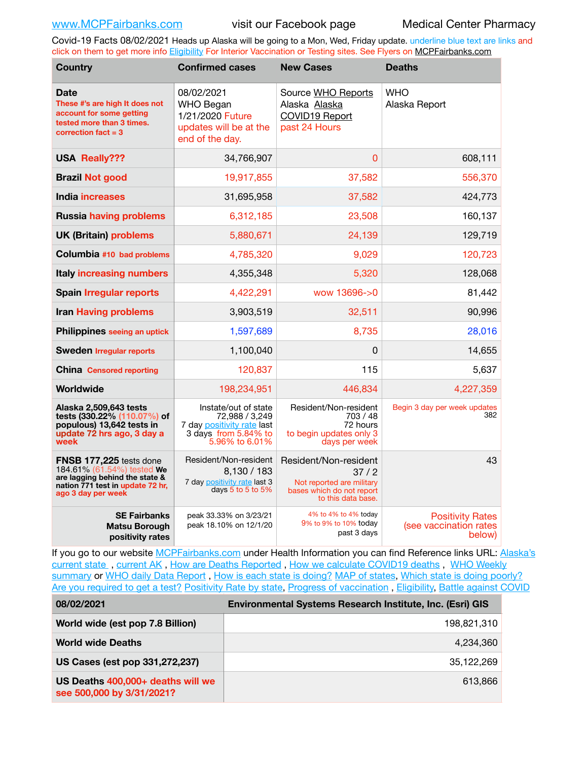Covid-19 Facts 08/02/2021 Heads up Alaska will be going to a Mon, Wed, Friday update. underline blue text are links and click on them to get more info [Eligibility](http://dhss.alaska.gov/dph/Epi/id/Pages/COVID-19/VaccineAvailability.aspx) For Interior Vaccination or Testing sites. See Flyers on [MCPFairbanks.com](http://www.MCPFairbanks.com)

| <b>Country</b>                                                                                                                                    | <b>Confirmed cases</b>                                                                                         | <b>New Cases</b>                                                                                              | <b>Deaths</b>                                               |
|---------------------------------------------------------------------------------------------------------------------------------------------------|----------------------------------------------------------------------------------------------------------------|---------------------------------------------------------------------------------------------------------------|-------------------------------------------------------------|
| <b>Date</b><br>These #'s are high It does not<br>account for some getting<br>tested more than 3 times.<br>correction $fact = 3$                   | 08/02/2021<br><b>WHO Began</b><br>1/21/2020 Future<br>updates will be at the<br>end of the day.                | Source WHO Reports<br>Alaska Alaska<br>COVID19 Report<br>past 24 Hours                                        | <b>WHO</b><br>Alaska Report                                 |
| <b>USA Really???</b>                                                                                                                              | 34,766,907                                                                                                     | 0                                                                                                             | 608,111                                                     |
| <b>Brazil Not good</b>                                                                                                                            | 19,917,855                                                                                                     | 37,582                                                                                                        | 556,370                                                     |
| <b>India increases</b>                                                                                                                            | 31,695,958                                                                                                     | 37,582                                                                                                        | 424,773                                                     |
| <b>Russia having problems</b>                                                                                                                     | 6,312,185                                                                                                      | 23,508                                                                                                        | 160,137                                                     |
| <b>UK (Britain) problems</b>                                                                                                                      | 5,880,671                                                                                                      | 24,139                                                                                                        | 129,719                                                     |
| Columbia #10 bad problems                                                                                                                         | 4,785,320                                                                                                      | 9,029                                                                                                         | 120,723                                                     |
| <b>Italy increasing numbers</b>                                                                                                                   | 4,355,348                                                                                                      | 5,320                                                                                                         | 128,068                                                     |
| <b>Spain Irregular reports</b>                                                                                                                    | 4,422,291                                                                                                      | wow 13696->0                                                                                                  | 81,442                                                      |
| <b>Iran Having problems</b>                                                                                                                       | 3,903,519                                                                                                      | 32,511                                                                                                        | 90,996                                                      |
| Philippines seeing an uptick                                                                                                                      | 1,597,689                                                                                                      | 8,735                                                                                                         | 28,016                                                      |
| <b>Sweden Irregular reports</b>                                                                                                                   | 1,100,040                                                                                                      | 0                                                                                                             | 14,655                                                      |
| <b>China Censored reporting</b>                                                                                                                   | 120,837                                                                                                        | 115                                                                                                           | 5,637                                                       |
| Worldwide                                                                                                                                         | 198,234,951                                                                                                    | 446,834                                                                                                       | 4,227,359                                                   |
| Alaska 2,509,643 tests<br>tests (330.22% (110.07%) of<br>populous) 13,642 tests in<br>update 72 hrs ago, 3 day a<br>week                          | Instate/out of state<br>72.988 / 3.249<br>7 day positivity rate last<br>3 days from 5.84% to<br>5.96% to 6.01% | Resident/Non-resident<br>703/48<br>72 hours<br>to begin updates only 3<br>days per week                       | Begin 3 day per week updates<br>382                         |
| FNSB 177,225 tests done<br>184.61% (61.54%) tested We<br>are lagging behind the state &<br>nation 771 test in update 72 hr,<br>ago 3 day per week | Resident/Non-resident<br>8,130 / 183<br>7 day positivity rate last 3<br>days $5$ to $5$ to $5%$                | Resident/Non-resident<br>37/2<br>Not reported are military<br>bases which do not report<br>to this data base. | 43                                                          |
| <b>SE Fairbanks</b><br>Matsu Borough<br>positivity rates                                                                                          | peak 33.33% on 3/23/21<br>peak 18.10% on 12/1/20                                                               | 4% to 4% to 4% today<br>9% to 9% to 10% today<br>past 3 days                                                  | <b>Positivity Rates</b><br>(see vaccination rates<br>below) |

If you go to our website [MCPFairbanks.com](http://www.MCPFairbanks.com) under Health Information you can find Reference links URL: Alaska's current state, current AK, [How are Deaths Reported](http://dhss.alaska.gov/dph/Epi/id/Pages/COVID-19/deathcounts.aspx), [How we calculate COVID19 deaths](https://coronavirus-response-alaska-dhss.hub.arcgis.com/search?collection=Document&groupIds=41ccb3344ebc4bd682c74073eba21f42), WHO Weekly [summary](http://www.who.int) or [WHO daily Data Report](https://covid19.who.int/table), [How is each state is doing?](https://www.msn.com/en-us/news/us/state-by-state-coronavirus-news/ar-BB13E1PX?fbclid=IwAR0_OBJH7lSyTN3ug_MsOeFnNgB1orTa9OBgilKJ7dhnwlVvHEsptuKkj1c) [MAP of states,](https://www.nationalgeographic.com/science/graphics/graphic-tracking-coronavirus-infections-us?cmpid=org=ngp::mc=crm-email::src=ngp::cmp=editorial::add=SpecialEdition_20210305&rid=B9A6DF5992658E8E35CE023113CFEA4C) [Which state is doing poorly?](https://bestlifeonline.com/covid-outbreak-your-state/?utm_source=nsltr&utm_medium=email&utm_content=covid-outbreak-your-state&utm_campaign=launch) [Are you required to get a test?](http://dhss.alaska.gov/dph/Epi/id/SiteAssets/Pages/HumanCoV/Whattodoafteryourtest.pdf) [Positivity Rate by state](https://coronavirus.jhu.edu/testing/individual-states/alaska), [Progress of vaccination](https://covid.cdc.gov/covid-data-tracker/#vaccinations) , [Eligibility,](http://dhss.alaska.gov/dph/Epi/id/Pages/COVID-19/VaccineAvailability.aspx) [Battle against COVID](https://www.nationalgeographic.com/science/graphics/graphic-tracking-coronavirus-infections-us?cmpid=org=ngp::mc=crm-email::src=ngp::cmp=editorial::add=SpecialEdition_20210219&rid=B9A6DF5992658E8E35CE023113CFEA4C)

| 08/02/2021                                                     | Environmental Systems Research Institute, Inc. (Esri) GIS |  |
|----------------------------------------------------------------|-----------------------------------------------------------|--|
| World wide (est pop 7.8 Billion)                               | 198.821.310                                               |  |
| <b>World wide Deaths</b>                                       | 4.234.360                                                 |  |
| US Cases (est pop 331,272,237)                                 | 35.122.269                                                |  |
| US Deaths 400,000+ deaths will we<br>see 500,000 by 3/31/2021? | 613.866                                                   |  |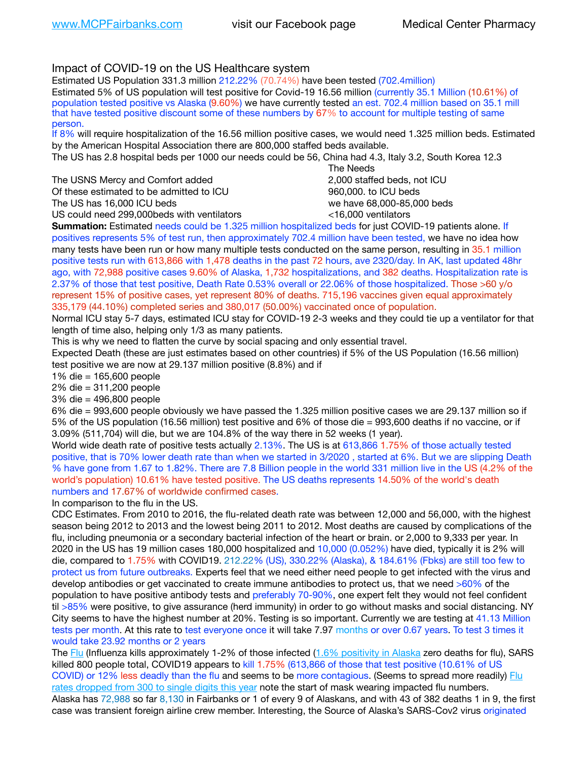# Impact of COVID-19 on the US Healthcare system

Estimated US Population 331.3 million 212.22% (70.74%) have been tested (702.4million)

Estimated 5% of US population will test positive for Covid-19 16.56 million (currently 35.1 Million (10.61%) of population tested positive vs Alaska (9.60%) we have currently tested an est. 702.4 million based on 35.1 mill that have tested positive discount some of these numbers by 67% to account for multiple testing of same person.

If 8% will require hospitalization of the 16.56 million positive cases, we would need 1.325 million beds. Estimated by the American Hospital Association there are 800,000 staffed beds available.

The US has 2.8 hospital beds per 1000 our needs could be 56, China had 4.3, Italy 3.2, South Korea 12.3

The USNS Mercy and Comfort added 2,000 staffed beds, not ICU Of these estimated to be admitted to ICU 860,000. to ICU beds The US has 16,000 ICU beds we have 68,000-85,000 beds

 The Needs US could need 299,000 beds with ventilators  $\leq 16,000$  ventilators

**Summation:** Estimated needs could be 1.325 million hospitalized beds for just COVID-19 patients alone. If positives represents 5% of test run, then approximately 702.4 million have been tested, we have no idea how many tests have been run or how many multiple tests conducted on the same person, resulting in 35.1 million positive tests run with 613,866 with 1,478 deaths in the past 72 hours, ave 2320/day. In AK, last updated 48hr ago, with 72,988 positive cases 9.60% of Alaska, 1,732 hospitalizations, and 382 deaths. Hospitalization rate is 2.37% of those that test positive, Death Rate 0.53% overall or 22.06% of those hospitalized. Those >60 y/o represent 15% of positive cases, yet represent 80% of deaths. 715,196 vaccines given equal approximately 335,179 (44.10%) completed series and 380,017 (50.00%) vaccinated once of population.

Normal ICU stay 5-7 days, estimated ICU stay for COVID-19 2-3 weeks and they could tie up a ventilator for that length of time also, helping only 1/3 as many patients.

This is why we need to flatten the curve by social spacing and only essential travel.

Expected Death (these are just estimates based on other countries) if 5% of the US Population (16.56 million) test positive we are now at 29.137 million positive (8.8%) and if

1% die = 165,600 people

2% die = 311,200 people

3% die = 496,800 people

6% die = 993,600 people obviously we have passed the 1.325 million positive cases we are 29.137 million so if 5% of the US population (16.56 million) test positive and 6% of those die = 993,600 deaths if no vaccine, or if 3.09% (511,704) will die, but we are 104.8% of the way there in 52 weeks (1 year).

World wide death rate of positive tests actually 2.13%. The US is at 613,866 1.75% of those actually tested positive, that is 70% lower death rate than when we started in 3/2020 , started at 6%. But we are slipping Death % have gone from 1.67 to 1.82%. There are 7.8 Billion people in the world 331 million live in the US (4.2% of the world's population) 10.61% have tested positive. The US deaths represents 14.50% of the world's death numbers and 17.67% of worldwide confirmed cases.

In comparison to the flu in the US.

CDC Estimates. From 2010 to 2016, the flu-related death rate was between 12,000 and 56,000, with the highest season being 2012 to 2013 and the lowest being 2011 to 2012. Most deaths are caused by complications of the flu, including pneumonia or a secondary bacterial infection of the heart or brain. or 2,000 to 9,333 per year. In 2020 in the US has 19 million cases 180,000 hospitalized and 10,000 (0.052%) have died, typically it is 2% will die, compared to 1.75% with COVID19. 212.22% (US), 330.22% (Alaska), & 184.61% (Fbks) are still too few to protect us from future outbreaks. Experts feel that we need either need people to get infected with the virus and develop antibodies or get vaccinated to create immune antibodies to protect us, that we need >60% of the population to have positive antibody tests and preferably 70-90%, one expert felt they would not feel confident til >85% were positive, to give assurance (herd immunity) in order to go without masks and social distancing. NY City seems to have the highest number at 20%. Testing is so important. Currently we are testing at 41.13 Million tests per month. At this rate to test everyone once it will take 7.97 months or over 0.67 years. To test 3 times it would take 23.92 months or 2 years

The [Flu](https://lnks.gd/l/eyJhbGciOiJIUzI1NiJ9.eyJidWxsZXRpbl9saW5rX2lkIjoxMDMsInVyaSI6ImJwMjpjbGljayIsImJ1bGxldGluX2lkIjoiMjAyMTAyMjYuMzYwNDA3NTEiLCJ1cmwiOiJodHRwczovL3d3dy5jZGMuZ292L2ZsdS93ZWVrbHkvb3ZlcnZpZXcuaHRtIn0.ePMA_hsZ-pTnhWSyg1gHvHWYTu2XceVOt0JejxvP1WE/s/500544915/br/98428119752-l) (Influenza kills approximately 1-2% of those infected ([1.6% positivity in Alaska](http://dhss.alaska.gov/dph/Epi/id/SiteAssets/Pages/influenza/trends/Snapshot.pdf) zero deaths for flu), SARS killed 800 people total, COVID19 appears to kill 1.75% (613,866 of those that test positive (10.61% of US COVID) or 12% less deadly than the flu and seems to be more contagious. (Seems to spread more readily) Flu [rates dropped from 300 to single digits this year](https://lnks.gd/l/eyJhbGciOiJIUzI1NiJ9.eyJidWxsZXRpbl9saW5rX2lkIjoxMDEsInVyaSI6ImJwMjpjbGljayIsImJ1bGxldGluX2lkIjoiMjAyMTAyMjYuMzYwNDA3NTEiLCJ1cmwiOiJodHRwOi8vZGhzcy5hbGFza2EuZ292L2RwaC9FcGkvaWQvUGFnZXMvaW5mbHVlbnphL2ZsdWluZm8uYXNweCJ9.oOe3nt2fww6XpsNhb4FZfmtPfPa-irGaldpkURBJhSo/s/500544915/br/98428119752-l) note the start of mask wearing impacted flu numbers. Alaska has 72,988 so far 8,130 in Fairbanks or 1 of every 9 of Alaskans, and with 43 of 382 deaths 1 in 9, the first case was transient foreign airline crew member. Interesting, the Source of Alaska's SARS-Cov2 virus originated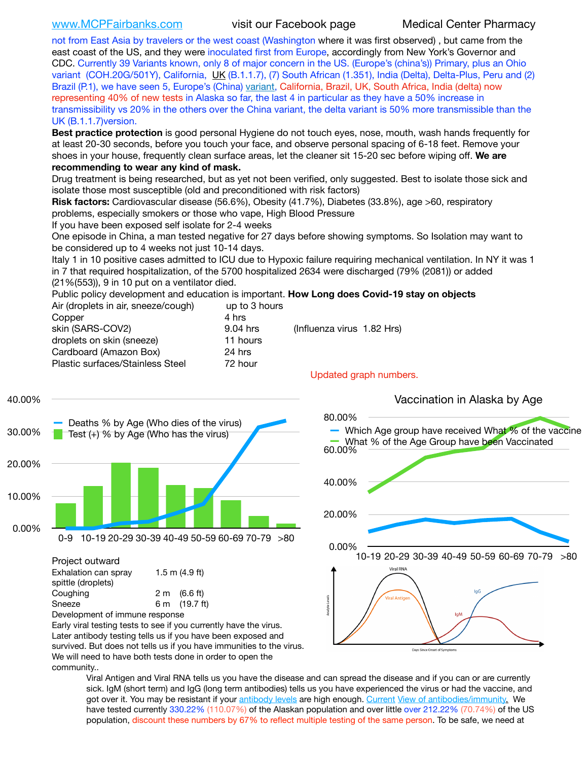[www.MCPFairbanks.com](http://www.MCPFairbanks.com) visit our Facebook page Medical Center Pharmacy

not from East Asia by travelers or the west coast (Washington where it was first observed) , but came from the east coast of the US, and they were inoculated first from Europe, accordingly from New York's Governor and CDC. Currently 39 Variants known, only 8 of major concern in the US. (Europe's (china's)) Primary, plus an Ohio variant (COH.20G/501Y), California, [UK](https://www.cdc.gov/coronavirus/2019-ncov/transmission/variant-cases.html) (B.1.1.7), (7) South African (1.351), India (Delta), Delta-Plus, Peru and (2) Brazil (P.1), we have seen 5, Europe's (China) [variant,](https://www.webmd.com/lung/news/20210318/cdc-who-create-threat-levels-for-covid-variants?ecd=wnl_cvd_031921&ctr=wnl-cvd-031921&mb=kYbf7DsHb7YGjh/1RUkcAW0T6iorImAU1TDZh18RYs0=_Support_titleLink_2) California, Brazil, UK, South Africa, India (delta) now representing 40% of new tests in Alaska so far, the last 4 in particular as they have a 50% increase in transmissibility vs 20% in the others over the China variant, the delta variant is 50% more transmissible than the UK (B.1.1.7)version.

**Best practice protection** is good personal Hygiene do not touch eyes, nose, mouth, wash hands frequently for at least 20-30 seconds, before you touch your face, and observe personal spacing of 6-18 feet. Remove your shoes in your house, frequently clean surface areas, let the cleaner sit 15-20 sec before wiping off. **We are recommending to wear any kind of mask.**

Drug treatment is being researched, but as yet not been verified, only suggested. Best to isolate those sick and isolate those most susceptible (old and preconditioned with risk factors)

**Risk factors:** Cardiovascular disease (56.6%), Obesity (41.7%), Diabetes (33.8%), age >60, respiratory problems, especially smokers or those who vape, High Blood Pressure

If you have been exposed self isolate for 2-4 weeks

One episode in China, a man tested negative for 27 days before showing symptoms. So Isolation may want to be considered up to 4 weeks not just 10-14 days.

Italy 1 in 10 positive cases admitted to ICU due to Hypoxic failure requiring mechanical ventilation. In NY it was 1 in 7 that required hospitalization, of the 5700 hospitalized 2634 were discharged (79% (2081)) or added (21%(553)), 9 in 10 put on a ventilator died.

Public policy development and education is important. **How Long does Covid-19 stay on objects**

| Air (droplets in air, sneeze/cough) | up to 3 hours |                               |
|-------------------------------------|---------------|-------------------------------|
| Copper                              | 4 hrs         |                               |
| skin (SARS-COV2)                    | 9.04 hrs      | (Influenza virus 1.82 Hrs)    |
| droplets on skin (sneeze)           | 11 hours      |                               |
| Cardboard (Amazon Box)              | 24 hrs        |                               |
| Plastic surfaces/Stainless Steel    | 72 hour       |                               |
|                                     |               | <b>Lindated aranh numbers</b> |



Development of immune response Early viral testing tests to see if you currently have the virus. Later antibody testing tells us if you have been exposed and survived. But does not tells us if you have immunities to the virus. We will need to have both tests done in order to open the community..



Viral Antigen and Viral RNA tells us you have the disease and can spread the disease and if you can or are currently sick. IgM (short term) and IgG (long term antibodies) tells us you have experienced the virus or had the vaccine, and got over it. You may be resistant if your [antibody levels](https://www.cdc.gov/coronavirus/2019-ncov/lab/resources/antibody-tests.html) are high enough. [Current](https://l.facebook.com/l.php?u=https://www.itv.com/news/2020-10-26/covid-19-antibody-levels-reduce-over-time-study-finds?fbclid=IwAR3Dapzh1qIH1EIOdUQI2y8THf7jfA4KBCaJz8Qg-8xe1YsrR4nsAHDIXSY&h=AT30nut8pkqp0heVuz5W2rT2WFFm-2Ab52BsJxZZCNlGsX58IpPkuVEPULbIUV_M16MAukx1Kwb657DPXxsgDN1rpOQ4gqBtQsmVYiWpnHPJo2RQsU6CPMd14lgLnQnFWxfVi6zvmw&__tn__=-UK-R&c%5B0%5D=AT1GaRAfR_nGAyqcn7TI1-PpvqOqEKXHnz6TDWvRStMnOSH7boQDvTiwTOc6VId9UES6LKiOmm2m88wKCoolkJyOFvakt2Z1Mw8toYWGGoWW23r0MNVBl7cYJXB_UOvGklNHaNnaNr1_S7NhT3BSykNOBg) [View of antibodies/immunity](https://www.livescience.com/antibodies.html)[.](https://www.itv.com/news/2020-10-26/covid-19-antibody-levels-reduce-over-time-study-finds) We have tested currently 330.22% (110.07%) of the Alaskan population and over little over 212.22% (70.74%) of the US population, discount these numbers by 67% to reflect multiple testing of the same person. To be safe, we need at

Updated graph numbers.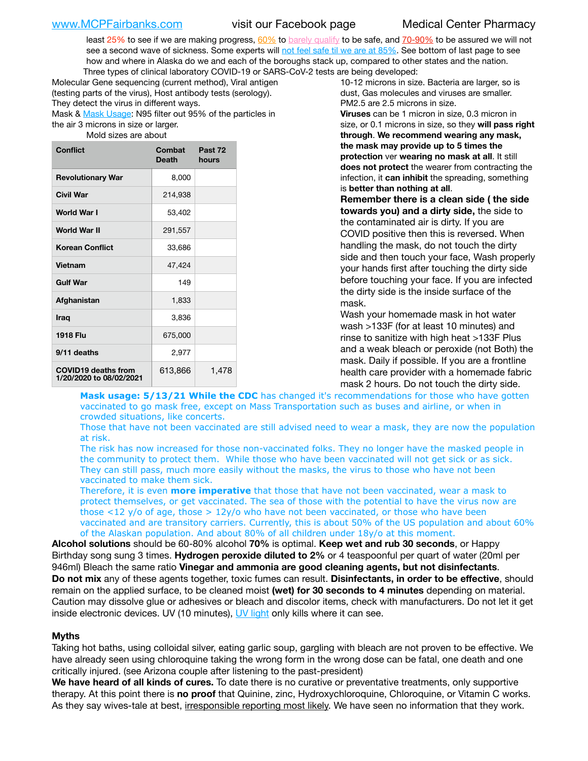least 25% to see if we are making progress, [60%](https://www.jhsph.edu/covid-19/articles/achieving-herd-immunity-with-covid19.html) to [barely qualify](https://www.nature.com/articles/d41586-020-02948-4) to be safe, and [70-90%](https://www.mayoclinic.org/herd-immunity-and-coronavirus/art-20486808) to be assured we will not see a second wave of sickness. Some experts will [not feel safe til we are at 85%](https://www.bannerhealth.com/healthcareblog/teach-me/what-is-herd-immunity). See bottom of last page to see how and where in Alaska do we and each of the boroughs stack up, compared to other states and the nation. Three types of clinical laboratory COVID-19 or SARS-CoV-2 tests are being developed:

Molecular Gene sequencing (current method), Viral antigen (testing parts of the virus), Host antibody tests (serology). They detect the virus in different ways. Mask & [Mask Usage:](https://www.nationalgeographic.com/history/2020/03/how-cities-flattened-curve-1918-spanish-flu-pandemic-coronavirus/) N95 filter out 95% of the particles in the air 3 microns in size or larger.

Mold sizes are about

| <b>Conflict</b>                                       | Combat<br><b>Death</b> | Past 72<br>hours |
|-------------------------------------------------------|------------------------|------------------|
| <b>Revolutionary War</b>                              | 8,000                  |                  |
| <b>Civil War</b>                                      | 214,938                |                  |
| World War I                                           | 53,402                 |                  |
| World War II                                          | 291,557                |                  |
| <b>Korean Conflict</b>                                | 33,686                 |                  |
| <b>Vietnam</b>                                        | 47,424                 |                  |
| <b>Gulf War</b>                                       | 149                    |                  |
| Afghanistan                                           | 1,833                  |                  |
| <b>Iraq</b>                                           | 3,836                  |                  |
| <b>1918 Flu</b>                                       | 675,000                |                  |
| 9/11 deaths                                           | 2,977                  |                  |
| <b>COVID19 deaths from</b><br>1/20/2020 to 08/02/2021 | 613,866                | 1,478            |

10-12 microns in size. Bacteria are larger, so is dust, Gas molecules and viruses are smaller. PM2.5 are 2.5 microns in size.

**Viruses** can be 1 micron in size, 0.3 micron in size, or 0.1 microns in size, so they **will pass right through**. **We recommend wearing any mask, the mask may provide up to 5 times the protection** ver **wearing no mask at all**. It still **does not protect** the wearer from contracting the infection, it **can inhibit** the spreading, something is **better than nothing at all**.

**Remember there is a clean side ( the side towards you) and a dirty side,** the side to the contaminated air is dirty. If you are COVID positive then this is reversed. When handling the mask, do not touch the dirty side and then touch your face, Wash properly your hands first after touching the dirty side before touching your face. If you are infected the dirty side is the inside surface of the mask.

Wash your homemade mask in hot water wash >133F (for at least 10 minutes) and rinse to sanitize with high heat >133F Plus and a weak bleach or peroxide (not Both) the mask. Daily if possible. If you are a frontline health care provider with a homemade fabric mask 2 hours. Do not touch the dirty side.

**Mask usage: 5/13/21 While the CDC** has changed it's recommendations for those who have gotten vaccinated to go mask free, except on Mass Transportation such as buses and airline, or when in crowded situations, like concerts.

Those that have not been vaccinated are still advised need to wear a mask, they are now the population at risk.

The risk has now increased for those non-vaccinated folks. They no longer have the masked people in the community to protect them. While those who have been vaccinated will not get sick or as sick. They can still pass, much more easily without the masks, the virus to those who have not been vaccinated to make them sick.

Therefore, it is even **more imperative** that those that have not been vaccinated, wear a mask to protect themselves, or get vaccinated. The sea of those with the potential to have the virus now are those <12 y/o of age, those >  $12y$ /o who have not been vaccinated, or those who have been vaccinated and are transitory carriers. Currently, this is about 50% of the US population and about 60% of the Alaskan population. And about 80% of all children under 18y/o at this moment.

**Alcohol solutions** should be 60-80% alcohol **70%** is optimal. **Keep wet and rub 30 seconds**, or Happy Birthday song sung 3 times. **Hydrogen peroxide diluted to 2%** or 4 teaspoonful per quart of water (20ml per 946ml) Bleach the same ratio **Vinegar and ammonia are good cleaning agents, but not disinfectants**. **Do not mix** any of these agents together, toxic fumes can result. **Disinfectants, in order to be effective**, should remain on the applied surface, to be cleaned moist **(wet) for 30 seconds to 4 minutes** depending on material. Caution may dissolve glue or adhesives or bleach and discolor items, check with manufacturers. Do not let it get inside electronic devices. UV (10 minutes), [UV light](http://www.docreviews.me/best-uv-boxes-2020/?fbclid=IwAR3bvFtXB48OoBBSvYvTEnKuHNPbipxM6jUo82QUSw9wckxjC7wwRZWabGw) only kills where it can see.

### **Myths**

Taking hot baths, using colloidal silver, eating garlic soup, gargling with bleach are not proven to be effective. We have already seen using chloroquine taking the wrong form in the wrong dose can be fatal, one death and one critically injured. (see Arizona couple after listening to the past-president)

**We have heard of all kinds of cures.** To date there is no curative or preventative treatments, only supportive therapy. At this point there is **no proof** that Quinine, zinc, Hydroxychloroquine, Chloroquine, or Vitamin C works. As they say wives-tale at best, irresponsible reporting most likely. We have seen no information that they work.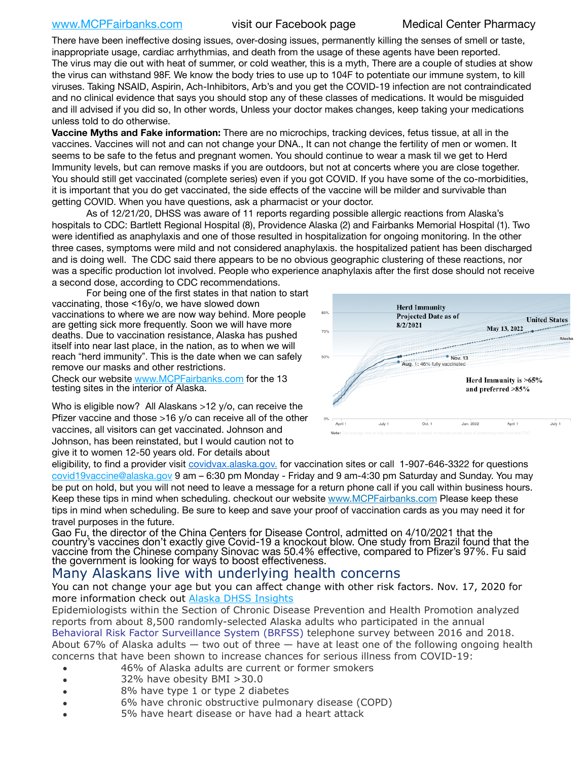# [www.MCPFairbanks.com](http://www.MCPFairbanks.com) visit our Facebook page Medical Center Pharmacy

There have been ineffective dosing issues, over-dosing issues, permanently killing the senses of smell or taste, inappropriate usage, cardiac arrhythmias, and death from the usage of these agents have been reported. The virus may die out with heat of summer, or cold weather, this is a myth, There are a couple of studies at show the virus can withstand 98F. We know the body tries to use up to 104F to potentiate our immune system, to kill viruses. Taking NSAID, Aspirin, Ach-Inhibitors, Arb's and you get the COVID-19 infection are not contraindicated and no clinical evidence that says you should stop any of these classes of medications. It would be misguided and ill advised if you did so, In other words, Unless your doctor makes changes, keep taking your medications unless told to do otherwise.

**Vaccine Myths and Fake information:** There are no microchips, tracking devices, fetus tissue, at all in the vaccines. Vaccines will not and can not change your DNA., It can not change the fertility of men or women. It seems to be safe to the fetus and pregnant women. You should continue to wear a mask til we get to Herd Immunity levels, but can remove masks if you are outdoors, but not at concerts where you are close together. You should still get vaccinated (complete series) even if you got COVID. If you have some of the co-morbidities, it is important that you do get vaccinated, the side effects of the vaccine will be milder and survivable than getting COVID. When you have questions, ask a pharmacist or your doctor.

As of 12/21/20, DHSS was aware of 11 reports regarding possible allergic reactions from Alaska's hospitals to CDC: Bartlett Regional Hospital (8), Providence Alaska (2) and Fairbanks Memorial Hospital (1). Two were identified as anaphylaxis and one of those resulted in hospitalization for ongoing monitoring. In the other three cases, symptoms were mild and not considered anaphylaxis. the hospitalized patient has been discharged and is doing well. The CDC said there appears to be no obvious geographic clustering of these reactions, nor was a specific production lot involved. People who experience anaphylaxis after the first dose should not receive a second dose, according to CDC recommendations.

For being one of the first states in that nation to start vaccinating, those <16y/o, we have slowed down vaccinations to where we are now way behind. More people are getting sick more frequently. Soon we will have more deaths. Due to vaccination resistance, Alaska has pushed itself into near last place, in the nation, as to when we will reach "herd immunity". This is the date when we can safely remove our masks and other restrictions.

Check our website [www.MCPFairbanks.com](http://www.MCPFairbanks.com) for the 13 testing sites in the interior of Alaska.

Who is eligible now? All Alaskans >12 y/o, can receive the Pfizer vaccine and those >16 y/o can receive all of the other vaccines, all visitors can get vaccinated. Johnson and Johnson, has been reinstated, but I would caution not to give it to women 12-50 years old. For details about



eligibility, to find a provider visit [covidvax.alaska.gov.](https://lnks.gd/l/eyJhbGciOiJIUzI1NiJ9.eyJidWxsZXRpbl9saW5rX2lkIjoxMDYsInVyaSI6ImJwMjpjbGljayIsImJ1bGxldGluX2lkIjoiMjAyMTAxMjguMzQwODU3NjEiLCJ1cmwiOiJodHRwOi8vZGhzcy5hbGFza2EuZ292L2RwaC9FcGkvaWQvUGFnZXMvQ09WSUQtMTkvdmFjY2luZS5hc3B4In0.-Xwhl42jAWOMS7ewfS85uxwrwjohCso3Sb81DuDKtxU/s/500544915/br/93796640171-l) for vaccination sites or call 1-907-646-3322 for questions [covid19vaccine@alaska.gov](mailto:covid19vaccine@alaska.gov?subject=COVID19%20Vaccine%20questions) 9 am – 6:30 pm Monday - Friday and 9 am-4:30 pm Saturday and Sunday. You may be put on hold, but you will not need to leave a message for a return phone call if you call within business hours. Keep these tips in mind when scheduling. checkout our website [www.MCPFairbanks.com](http://www.MCPFairbanks.com) Please keep these tips in mind when scheduling. Be sure to keep and save your proof of vaccination cards as you may need it for travel purposes in the future.

Gao Fu, the director of the China Centers for Disease Control, admitted on 4/10/2021 that the country's vaccines don't exactly give Covid-19 a knockout blow. One study from Brazil found that the vaccine from the Chinese company Sinovac was 50.4% effective, compared to Pfizer's 97%. Fu said the government is looking for ways to boost effectiveness.

# Many Alaskans live with underlying health concerns

You can not change your age but you can affect change with other risk factors. Nov. 17, 2020 for more information check out [Alaska DHSS Insights](http://dhss.alaska.gov/dph/Epi/id/Pages/COVID-19/blog/20201117.aspx)

Epidemiologists within the Section of Chronic Disease Prevention and Health Promotion analyzed reports from about 8,500 randomly-selected Alaska adults who participated in the annual [Behavioral Risk Factor Surveillance System \(BRFSS\)](http://dhss.alaska.gov/dph/Chronic/Pages/brfss/default.aspx) telephone survey between 2016 and 2018. About 67% of Alaska adults — two out of three — have at least one of the following ongoing health concerns that have been shown to increase chances for serious illness from COVID-19:

- 46% of Alaska adults are current or former smokers
- 32% have obesity BMI >30.0
- 8% have type 1 or type 2 diabetes
- 6% have chronic obstructive pulmonary disease (COPD)
- 5% have heart disease or have had a heart attack